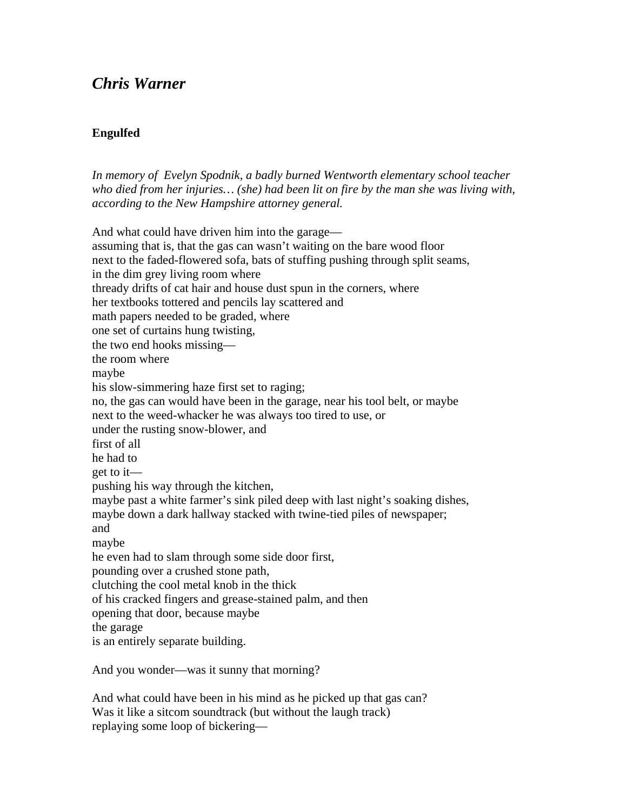## *Chris Warner*

## **Engulfed**

*In memory of Evelyn Spodnik, a badly burned Wentworth elementary school teacher who died from her injuries… (she) had been lit on fire by the man she was living with, according to the New Hampshire attorney general.* 

And what could have driven him into the garage assuming that is, that the gas can wasn't waiting on the bare wood floor next to the faded-flowered sofa, bats of stuffing pushing through split seams, in the dim grey living room where thready drifts of cat hair and house dust spun in the corners, where her textbooks tottered and pencils lay scattered and math papers needed to be graded, where one set of curtains hung twisting, the two end hooks missing the room where maybe his slow-simmering haze first set to raging; no, the gas can would have been in the garage, near his tool belt, or maybe next to the weed-whacker he was always too tired to use, or under the rusting snow-blower, and first of all he had to get to it pushing his way through the kitchen, maybe past a white farmer's sink piled deep with last night's soaking dishes, maybe down a dark hallway stacked with twine-tied piles of newspaper; and maybe he even had to slam through some side door first, pounding over a crushed stone path, clutching the cool metal knob in the thick of his cracked fingers and grease-stained palm, and then opening that door, because maybe the garage is an entirely separate building.

And you wonder—was it sunny that morning?

And what could have been in his mind as he picked up that gas can? Was it like a sitcom soundtrack (but without the laugh track) replaying some loop of bickering—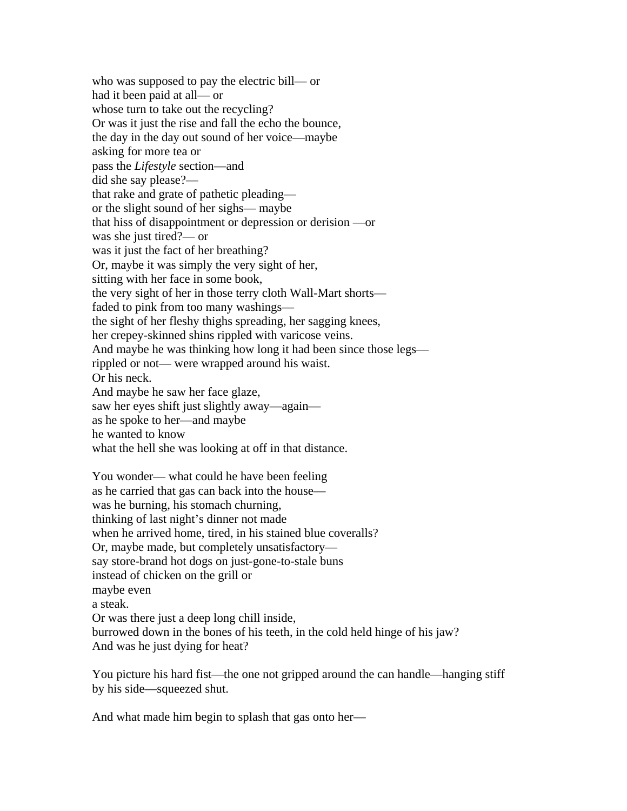who was supposed to pay the electric bill— or had it been paid at all— or whose turn to take out the recycling? Or was it just the rise and fall the echo the bounce, the day in the day out sound of her voice—maybe asking for more tea or pass the *Lifestyle* section—and did she say please? that rake and grate of pathetic pleading or the slight sound of her sighs— maybe that hiss of disappointment or depression or derision —or was she just tired?— or was it just the fact of her breathing? Or, maybe it was simply the very sight of her, sitting with her face in some book, the very sight of her in those terry cloth Wall-Mart shorts faded to pink from too many washings the sight of her fleshy thighs spreading, her sagging knees, her crepey-skinned shins rippled with varicose veins. And maybe he was thinking how long it had been since those legs rippled or not— were wrapped around his waist. Or his neck. And maybe he saw her face glaze, saw her eyes shift just slightly away—again as he spoke to her—and maybe he wanted to know what the hell she was looking at off in that distance. You wonder— what could he have been feeling as he carried that gas can back into the house was he burning, his stomach churning, thinking of last night's dinner not made when he arrived home, tired, in his stained blue coveralls? Or, maybe made, but completely unsatisfactory say store-brand hot dogs on just-gone-to-stale buns instead of chicken on the grill or maybe even a steak. Or was there just a deep long chill inside,

burrowed down in the bones of his teeth, in the cold held hinge of his jaw? And was he just dying for heat?

You picture his hard fist—the one not gripped around the can handle—hanging stiff by his side—squeezed shut.

And what made him begin to splash that gas onto her—